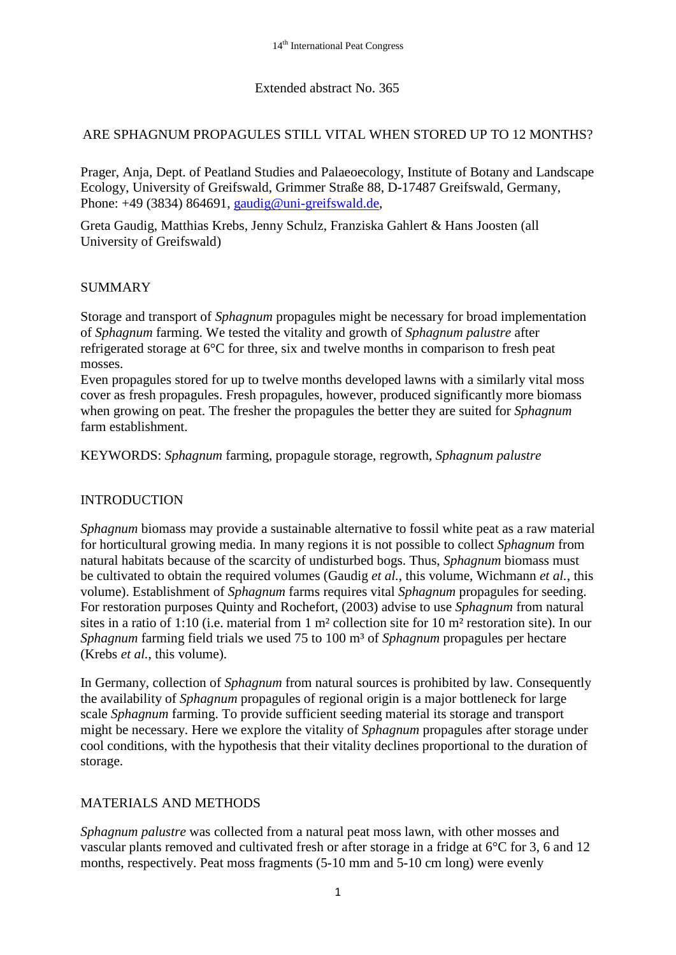# Extended abstract No. 365

## ARE SPHAGNUM PROPAGULES STILL VITAL WHEN STORED UP TO 12 MONTHS?

Prager, Anja, Dept. of Peatland Studies and Palaeoecology, Institute of Botany and Landscape Ecology, University of Greifswald, Grimmer Straße 88, D-17487 Greifswald, Germany, Phone:  $+49$  (3834) 864691, [gaudig@uni-greifswald.de,](mailto:gaudig@uni-greifswald.de)

Greta Gaudig, Matthias Krebs, Jenny Schulz, Franziska Gahlert & Hans Joosten (all University of Greifswald)

# **SUMMARY**

Storage and transport of *Sphagnum* propagules might be necessary for broad implementation of *Sphagnum* farming. We tested the vitality and growth of *Sphagnum palustre* after refrigerated storage at 6°C for three, six and twelve months in comparison to fresh peat mosses.

Even propagules stored for up to twelve months developed lawns with a similarly vital moss cover as fresh propagules. Fresh propagules, however, produced significantly more biomass when growing on peat. The fresher the propagules the better they are suited for *Sphagnum* farm establishment.

KEYWORDS: *Sphagnum* farming, propagule storage, regrowth, *Sphagnum palustre*

## INTRODUCTION

*Sphagnum* biomass may provide a sustainable alternative to fossil white peat as a raw material for horticultural growing media. In many regions it is not possible to collect *Sphagnum* from natural habitats because of the scarcity of undisturbed bogs. Thus, *Sphagnum* biomass must be cultivated to obtain the required volumes (Gaudig *et al.*, this volume, Wichmann *et al.*, this volume). Establishment of *Sphagnum* farms requires vital *Sphagnum* propagules for seeding. For restoration purposes Quinty and Rochefort, (2003) advise to use *Sphagnum* from natural sites in a ratio of 1:10 (i.e. material from 1 m² collection site for 10 m² restoration site). In our *Sphagnum* farming field trials we used 75 to 100 m<sup>3</sup> of *Sphagnum* propagules per hectare (Krebs *et al.*, this volume).

In Germany, collection of *Sphagnum* from natural sources is prohibited by law. Consequently the availability of *Sphagnum* propagules of regional origin is a major bottleneck for large scale *Sphagnum* farming. To provide sufficient seeding material its storage and transport might be necessary. Here we explore the vitality of *Sphagnum* propagules after storage under cool conditions, with the hypothesis that their vitality declines proportional to the duration of storage.

## MATERIALS AND METHODS

*Sphagnum palustre* was collected from a natural peat moss lawn, with other mosses and vascular plants removed and cultivated fresh or after storage in a fridge at 6°C for 3, 6 and 12 months, respectively. Peat moss fragments (5-10 mm and 5-10 cm long) were evenly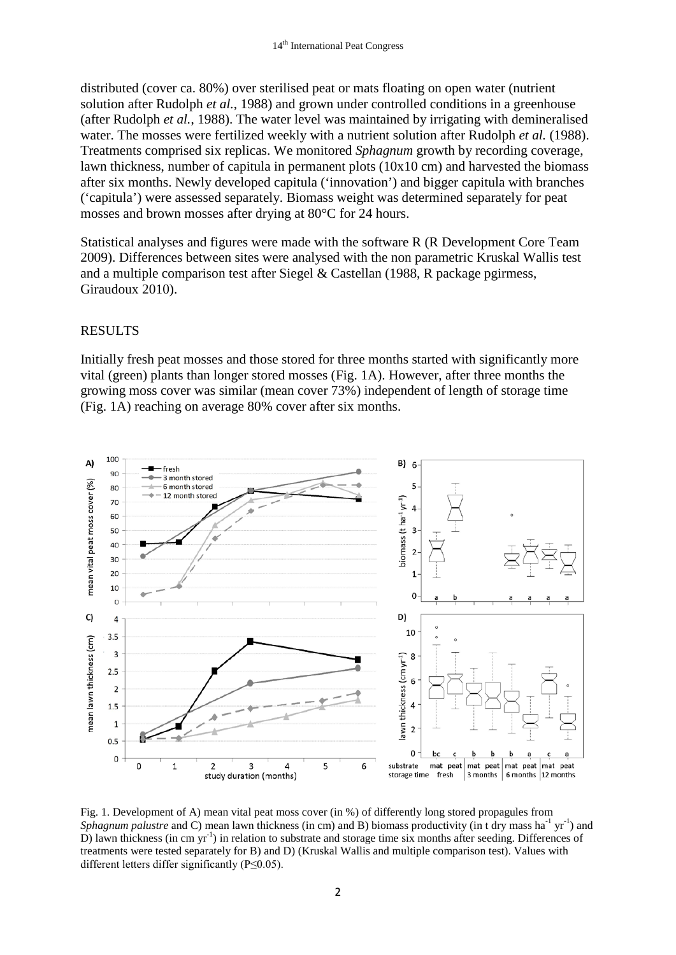distributed (cover ca. 80%) over sterilised peat or mats floating on open water (nutrient solution after Rudolph *et al.*, 1988) and grown under controlled conditions in a greenhouse (after Rudolph *et al.*, 1988). The water level was maintained by irrigating with demineralised water. The mosses were fertilized weekly with a nutrient solution after Rudolph *et al.* (1988). Treatments comprised six replicas. We monitored *Sphagnum* growth by recording coverage, lawn thickness, number of capitula in permanent plots (10x10 cm) and harvested the biomass after six months. Newly developed capitula ('innovation') and bigger capitula with branches ('capitula') were assessed separately. Biomass weight was determined separately for peat mosses and brown mosses after drying at 80°C for 24 hours.

Statistical analyses and figures were made with the software R (R Development Core Team 2009). Differences between sites were analysed with the non parametric Kruskal Wallis test and a multiple comparison test after Siegel & Castellan (1988, R package pgirmess, Giraudoux 2010).

#### RESULTS

Initially fresh peat mosses and those stored for three months started with significantly more vital (green) plants than longer stored mosses (Fig. 1A). However, after three months the growing moss cover was similar (mean cover 73%) independent of length of storage time (Fig. 1A) reaching on average 80% cover after six months.



Fig. 1. Development of A) mean vital peat moss cover (in %) of differently long stored propagules from Sphagnum palustre and C) mean lawn thickness (in cm) and B) biomass productivity (in t dry mass ha<sup>-1</sup> yr<sup>-1</sup>) and D) lawn thickness (in cm yr<sup>-1</sup>) in relation to substrate and storage time six months after seeding. Differences of treatments were tested separately for B) and D) (Kruskal Wallis and multiple comparison test). Values with different letters differ significantly (P≤0.05).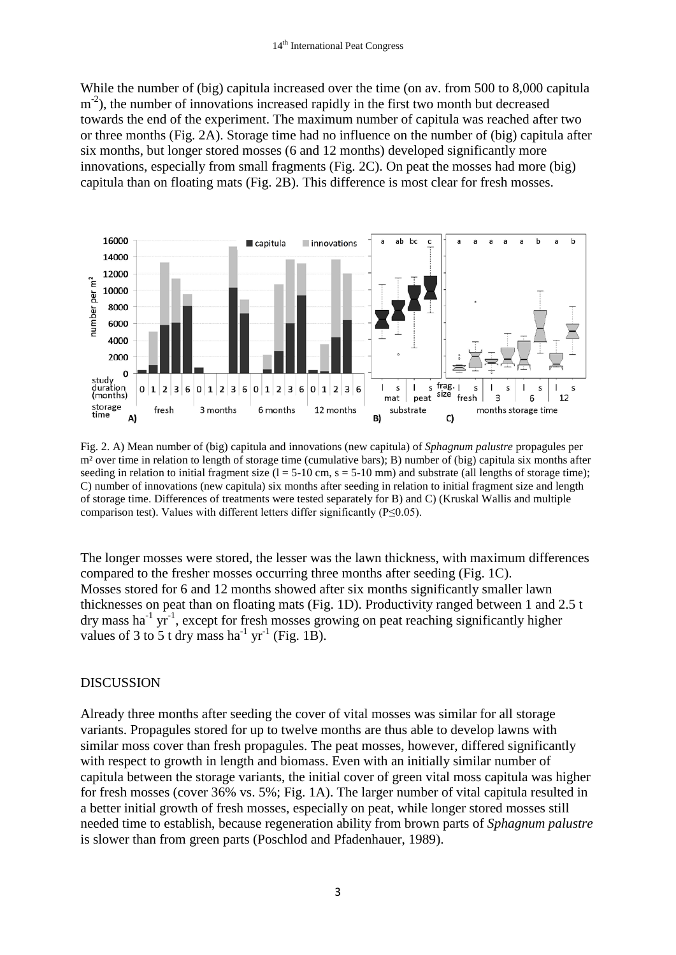While the number of (big) capitula increased over the time (on av. from 500 to 8,000 capitula m<sup>-2</sup>), the number of innovations increased rapidly in the first two month but decreased towards the end of the experiment. The maximum number of capitula was reached after two or three months (Fig. 2A). Storage time had no influence on the number of (big) capitula after six months, but longer stored mosses (6 and 12 months) developed significantly more innovations, especially from small fragments (Fig. 2C). On peat the mosses had more (big) capitula than on floating mats (Fig. 2B). This difference is most clear for fresh mosses.



Fig. 2. A) Mean number of (big) capitula and innovations (new capitula) of *Sphagnum palustre* propagules per m² over time in relation to length of storage time (cumulative bars); B) number of (big) capitula six months after seeding in relation to initial fragment size  $(l = 5-10 \text{ cm}, s = 5-10 \text{ mm})$  and substrate (all lengths of storage time); C) number of innovations (new capitula) six months after seeding in relation to initial fragment size and length of storage time. Differences of treatments were tested separately for B) and C) (Kruskal Wallis and multiple comparison test). Values with different letters differ significantly (P≤0.05).

The longer mosses were stored, the lesser was the lawn thickness, with maximum differences compared to the fresher mosses occurring three months after seeding (Fig. 1C). Mosses stored for 6 and 12 months showed after six months significantly smaller lawn thicknesses on peat than on floating mats (Fig. 1D). Productivity ranged between 1 and 2.5 t dry mass ha<sup>-1</sup> yr<sup>-1</sup>, except for fresh mosses growing on peat reaching significantly higher values of 3 to 5 t dry mass ha<sup>-1</sup> yr<sup>-1</sup> (Fig. 1B).

#### DISCUSSION

Already three months after seeding the cover of vital mosses was similar for all storage variants. Propagules stored for up to twelve months are thus able to develop lawns with similar moss cover than fresh propagules. The peat mosses, however, differed significantly with respect to growth in length and biomass. Even with an initially similar number of capitula between the storage variants, the initial cover of green vital moss capitula was higher for fresh mosses (cover 36% vs. 5%; Fig. 1A). The larger number of vital capitula resulted in a better initial growth of fresh mosses, especially on peat, while longer stored mosses still needed time to establish, because regeneration ability from brown parts of *Sphagnum palustre* is slower than from green parts (Poschlod and Pfadenhauer, 1989).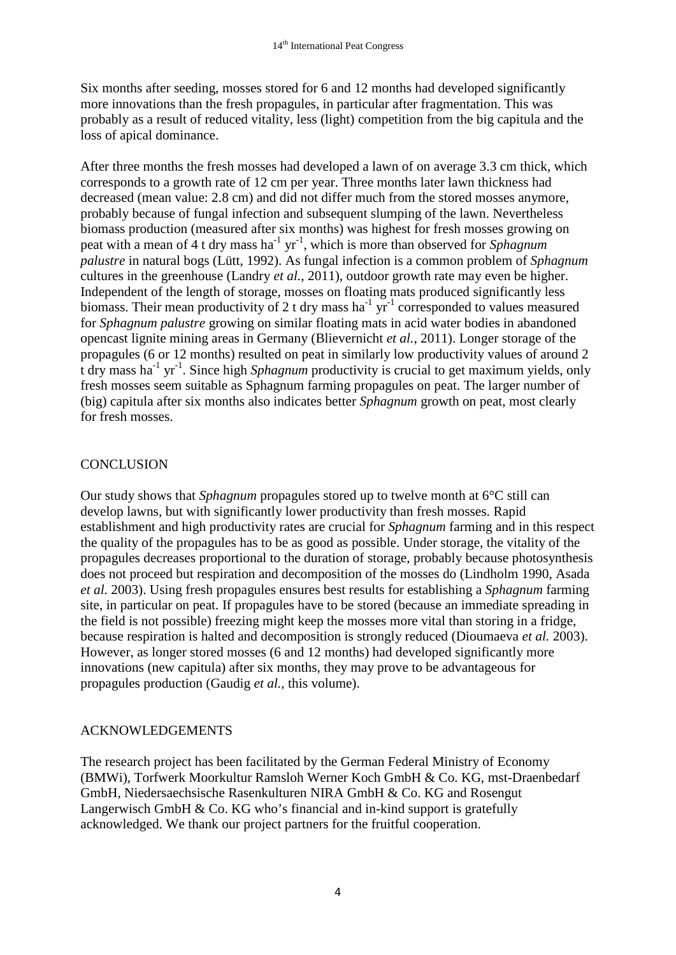Six months after seeding, mosses stored for 6 and 12 months had developed significantly more innovations than the fresh propagules, in particular after fragmentation. This was probably as a result of reduced vitality, less (light) competition from the big capitula and the loss of apical dominance.

After three months the fresh mosses had developed a lawn of on average 3.3 cm thick, which corresponds to a growth rate of 12 cm per year. Three months later lawn thickness had decreased (mean value: 2.8 cm) and did not differ much from the stored mosses anymore, probably because of fungal infection and subsequent slumping of the lawn. Nevertheless biomass production (measured after six months) was highest for fresh mosses growing on peat with a mean of 4 t dry mass ha<sup>-1</sup> yr<sup>-1</sup>, which is more than observed for *Sphagnum palustre* in natural bogs (Lütt, 1992). As fungal infection is a common problem of *Sphagnum* cultures in the greenhouse (Landry *et al.*, 2011), outdoor growth rate may even be higher. Independent of the length of storage, mosses on floating mats produced significantly less biomass. Their mean productivity of 2 t dry mass ha<sup>-1</sup> yr<sup>-1</sup> corresponded to values measured for *Sphagnum palustre* growing on similar floating mats in acid water bodies in abandoned opencast lignite mining areas in Germany (Blievernicht *et al.*, 2011). Longer storage of the propagules (6 or 12 months) resulted on peat in similarly low productivity values of around 2 t dry mass ha<sup>-1</sup> yr<sup>-1</sup>. Since high *Sphagnum* productivity is crucial to get maximum yields, only fresh mosses seem suitable as Sphagnum farming propagules on peat. The larger number of (big) capitula after six months also indicates better *Sphagnum* growth on peat, most clearly for fresh mosses.

# **CONCLUSION**

Our study shows that *Sphagnum* propagules stored up to twelve month at 6°C still can develop lawns, but with significantly lower productivity than fresh mosses. Rapid establishment and high productivity rates are crucial for *Sphagnum* farming and in this respect the quality of the propagules has to be as good as possible. Under storage, the vitality of the propagules decreases proportional to the duration of storage, probably because photosynthesis does not proceed but respiration and decomposition of the mosses do (Lindholm 1990, Asada *et al.* 2003). Using fresh propagules ensures best results for establishing a *Sphagnum* farming site, in particular on peat. If propagules have to be stored (because an immediate spreading in the field is not possible) freezing might keep the mosses more vital than storing in a fridge, because respiration is halted and decomposition is strongly reduced (Dioumaeva *et al.* 2003). However, as longer stored mosses (6 and 12 months) had developed significantly more innovations (new capitula) after six months, they may prove to be advantageous for propagules production (Gaudig *et al.*, this volume).

## ACKNOWLEDGEMENTS

The research project has been facilitated by the German Federal Ministry of Economy (BMWi), Torfwerk Moorkultur Ramsloh Werner Koch GmbH & Co. KG, mst-Draenbedarf GmbH, Niedersaechsische Rasenkulturen NIRA GmbH & Co. KG and Rosengut Langerwisch GmbH  $& Co. KG who's financial and in-kind support is gratefully$ acknowledged. We thank our project partners for the fruitful cooperation.